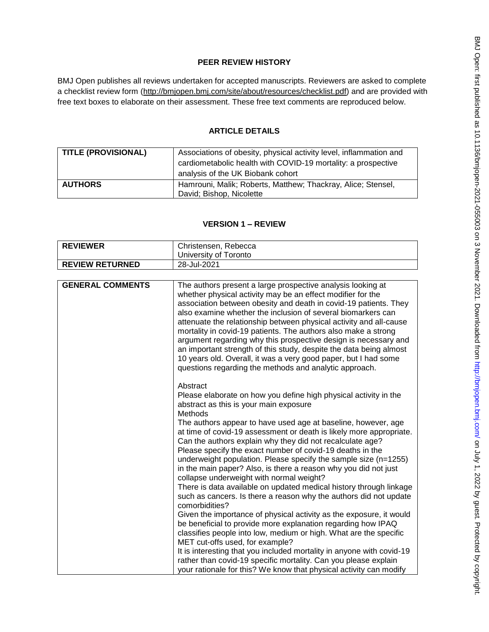# **PEER REVIEW HISTORY**

BMJ Open publishes all reviews undertaken for accepted manuscripts. Reviewers are asked to complete a checklist review form [\(http://bmjopen.bmj.com/site/about/resources/checklist.pdf\)](http://bmjopen.bmj.com/site/about/resources/checklist.pdf) and are provided with free text boxes to elaborate on their assessment. These free text comments are reproduced below.

## **ARTICLE DETAILS**

| <b>TITLE (PROVISIONAL)</b> | Associations of obesity, physical activity level, inflammation and<br>cardiometabolic health with COVID-19 mortality: a prospective<br>analysis of the UK Biobank cohort |
|----------------------------|--------------------------------------------------------------------------------------------------------------------------------------------------------------------------|
| <b>AUTHORS</b>             | Hamrouni, Malik; Roberts, Matthew; Thackray, Alice; Stensel,<br>David; Bishop, Nicolette                                                                                 |

## **VERSION 1 – REVIEW**

| <b>REVIEWER</b>        | Christensen, Rebecca<br>University of Toronto |
|------------------------|-----------------------------------------------|
|                        |                                               |
| <b>REVIEW RETURNED</b> | 28-Jul-2021                                   |

| <b>GENERAL COMMENTS</b> | The authors present a large prospective analysis looking at<br>whether physical activity may be an effect modifier for the<br>association between obesity and death in covid-19 patients. They<br>also examine whether the inclusion of several biomarkers can<br>attenuate the relationship between physical activity and all-cause<br>mortality in covid-19 patients. The authors also make a strong<br>argument regarding why this prospective design is necessary and<br>an important strength of this study, despite the data being almost<br>10 years old. Overall, it was a very good paper, but I had some<br>questions regarding the methods and analytic approach.                                                                       |
|-------------------------|----------------------------------------------------------------------------------------------------------------------------------------------------------------------------------------------------------------------------------------------------------------------------------------------------------------------------------------------------------------------------------------------------------------------------------------------------------------------------------------------------------------------------------------------------------------------------------------------------------------------------------------------------------------------------------------------------------------------------------------------------|
|                         | Abstract<br>Please elaborate on how you define high physical activity in the<br>abstract as this is your main exposure<br>Methods<br>The authors appear to have used age at baseline, however, age<br>at time of covid-19 assessment or death is likely more appropriate.<br>Can the authors explain why they did not recalculate age?<br>Please specify the exact number of covid-19 deaths in the<br>underweight population. Please specify the sample size (n=1255)<br>in the main paper? Also, is there a reason why you did not just<br>collapse underweight with normal weight?<br>There is data available on updated medical history through linkage<br>such as cancers. Is there a reason why the authors did not update<br>comorbidities? |
|                         | Given the importance of physical activity as the exposure, it would<br>be beneficial to provide more explanation regarding how IPAQ<br>classifies people into low, medium or high. What are the specific<br>MET cut-offs used, for example?<br>It is interesting that you included mortality in anyone with covid-19<br>rather than covid-19 specific mortality. Can you please explain<br>your rationale for this? We know that physical activity can modify                                                                                                                                                                                                                                                                                      |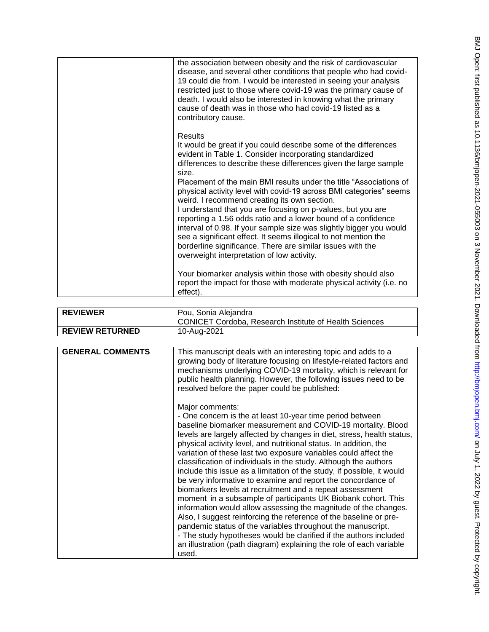| the association between obesity and the risk of cardiovascular<br>disease, and several other conditions that people who had covid-<br>19 could die from. I would be interested in seeing your analysis<br>restricted just to those where covid-19 was the primary cause of<br>death. I would also be interested in knowing what the primary<br>cause of death was in those who had covid-19 listed as a<br>contributory cause.<br>Results<br>It would be great if you could describe some of the differences<br>evident in Table 1. Consider incorporating standardized<br>differences to describe these differences given the large sample<br>size.<br>Placement of the main BMI results under the title "Associations of<br>physical activity level with covid-19 across BMI categories" seems<br>weird. I recommend creating its own section.<br>I understand that you are focusing on p-values, but you are<br>reporting a 1.56 odds ratio and a lower bound of a confidence<br>interval of 0.98. If your sample size was slightly bigger you would<br>see a significant effect. It seems illogical to not mention the<br>borderline significance. There are similar issues with the<br>overweight interpretation of low activity.<br>Your biomarker analysis within those with obesity should also<br>report the impact for those with moderate physical activity (i.e. no<br>effect). |  |
|---------------------------------------------------------------------------------------------------------------------------------------------------------------------------------------------------------------------------------------------------------------------------------------------------------------------------------------------------------------------------------------------------------------------------------------------------------------------------------------------------------------------------------------------------------------------------------------------------------------------------------------------------------------------------------------------------------------------------------------------------------------------------------------------------------------------------------------------------------------------------------------------------------------------------------------------------------------------------------------------------------------------------------------------------------------------------------------------------------------------------------------------------------------------------------------------------------------------------------------------------------------------------------------------------------------------------------------------------------------------------------------------|--|
|                                                                                                                                                                                                                                                                                                                                                                                                                                                                                                                                                                                                                                                                                                                                                                                                                                                                                                                                                                                                                                                                                                                                                                                                                                                                                                                                                                                             |  |
|                                                                                                                                                                                                                                                                                                                                                                                                                                                                                                                                                                                                                                                                                                                                                                                                                                                                                                                                                                                                                                                                                                                                                                                                                                                                                                                                                                                             |  |

| <b>REVIEWER</b>         | Pou, Sonia Alejandra<br><b>CONICET Cordoba, Research Institute of Health Sciences</b>                                                                                                                                                                                                                                                                                                                         |
|-------------------------|---------------------------------------------------------------------------------------------------------------------------------------------------------------------------------------------------------------------------------------------------------------------------------------------------------------------------------------------------------------------------------------------------------------|
| <b>REVIEW RETURNED</b>  | 10-Aug-2021                                                                                                                                                                                                                                                                                                                                                                                                   |
|                         |                                                                                                                                                                                                                                                                                                                                                                                                               |
| <b>GENERAL COMMENTS</b> | This manuscript deals with an interesting topic and adds to a<br>growing body of literature focusing on lifestyle-related factors and<br>mechanisms underlying COVID-19 mortality, which is relevant for<br>public health planning. However, the following issues need to be<br>resolved before the paper could be published:<br>Major comments:<br>- One concern is the at least 10-year time period between |

baseline biomarker measurement and COVID -19 mortality. Blood levels are largely affected by changes in diet, stress, health status, physical activity level, and nutritional status. In addition, the variation of these last two exposure variables could affect the classification of individuals in the study. Although the authors include this issue as a limitation of the study, if possible, it would be very informative to examine and report the concordance of biomarkers levels at recruitment and a repeat assessment moment  in a subsample of participants UK Biobank cohort. This information would allow assessing the magnitude of the changes. Also, I suggest reinforcing the reference of the baseline or pre pandemic status of the variables throughout the manuscript. - The study hypotheses would be clarified if the authors included an illustration (path diagram) explaining the role of each variable used.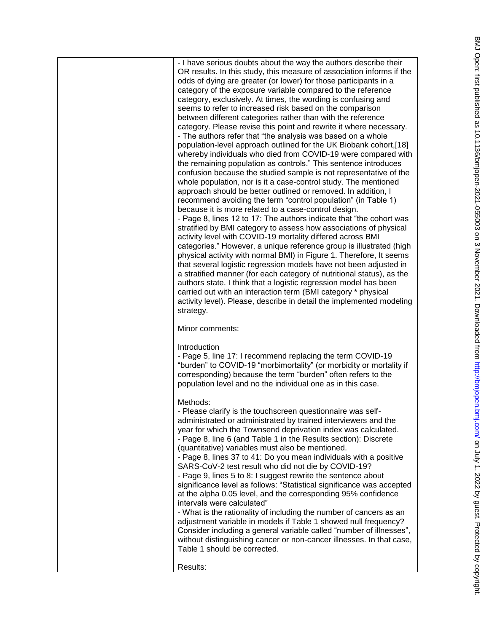- I have serious doubts about the way the authors describe their OR results. In this study, this measure of association informs if the odds of dying are greater (or lower) for those participants in a category of the exposure variable compared to the reference category, exclusively. At times, the wording is confusing and seems to refer to increased risk based on the comparison between different categories rather than with the reference category. Please revise this point and rewrite it where necessary. - The authors refer that "the analysis was based on a whole population -level approach outlined for the UK Biobank cohort,[18] whereby individuals who died from COVID -19 were compared with the remaining population as controls." This sentence introduces confusion because the studied sample is not representative of the whole population, nor is it a case-control study. The mentioned approach should be better outlined or removed. In addition, I recommend avoiding the term "control population" (in Table 1) because it is more related to a case -control design. - Page 8, lines 12 to 17: The authors indicate that "the cohort was stratified by BMI category to assess how associations of physical activity level with COVID -19 mortality differed across BMI categories." However, a unique reference group is illustrated (high physical activity with normal BMI) in Figure 1. Therefore, It seems that several logistic regression models have not been adjusted in a stratified manner (for each category of nutritional status), as the authors state. I think that a logistic regression model has been carried out with an interaction term (BMI category \* physical activity level). Please, describe in detail the implemented modeling strategy. Minor comments: Introduction - Page 5, line 17: I recommend replacing the term COVID -19 "burden" to COVID -19 "morbimortality" (or morbidity or mortality if corresponding) because the term "burden" often refers to the population level and no the individual one as in this case. Methods : - Please clarify is the touchscreen questionnaire was self administrated or administrated by trained interviewers and the year for which the Townsend deprivation index was calculated. - Page 8, line 6 (and Table 1 in the Results section): Discrete (quantitative) variables must also be mentioned. - Page 8, lines 37 to 41: Do you mean individuals with a positive SARS -CoV -2 test result who did not die by COVID -19? - Page 9, lines 5 to 8: I suggest rewrite the sentence about significance level as follows: "Statistical significance was accepted at the alpha 0.05 level, and the corresponding 95% confidence intervals were calculated"

- What is the rationality of including the number of cancers as an adjustment variable in models if Table 1 showed null frequency? Consider including a general variable called "number of illnesses", without distinguishing cancer or non -cancer illnesses. In that case, Table 1 should be corrected.

Results: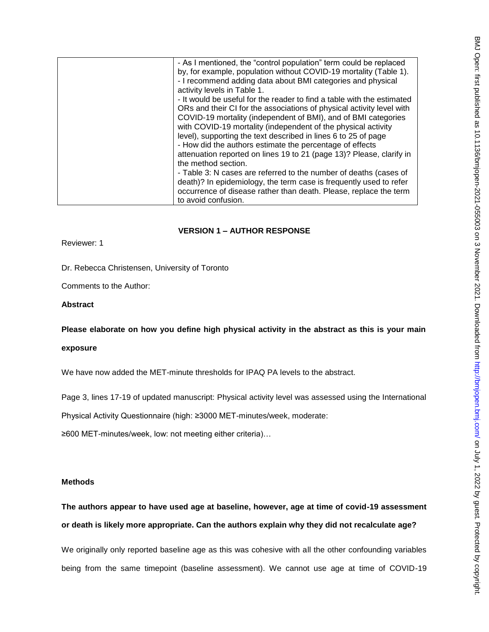| - As I mentioned, the "control population" term could be replaced      |
|------------------------------------------------------------------------|
| by, for example, population without COVID-19 mortality (Table 1).      |
| - I recommend adding data about BMI categories and physical            |
| activity levels in Table 1.                                            |
| - It would be useful for the reader to find a table with the estimated |
| ORs and their CI for the associations of physical activity level with  |
| COVID-19 mortality (independent of BMI), and of BMI categories         |
| with COVID-19 mortality (independent of the physical activity          |
| level), supporting the text described in lines 6 to 25 of page         |
| - How did the authors estimate the percentage of effects               |
| attenuation reported on lines 19 to 21 (page 13)? Please, clarify in   |
| the method section.                                                    |
| - Table 3: N cases are referred to the number of deaths (cases of      |
| death)? In epidemiology, the term case is frequently used to refer     |
|                                                                        |
| occurrence of disease rather than death. Please, replace the term      |
| to avoid confusion.                                                    |
|                                                                        |

## **VERSION 1 – AUTHOR RESPONSE**

Reviewer: 1

Dr. Rebecca Christensen, University of Toronto

Comments to the Author:

## **Abstract**

**Please elaborate on how you define high physical activity in the abstract as this is your main** 

## **exposure**

We have now added the MET-minute thresholds for IPAQ PA levels to the abstract.

Page 3, lines 17-19 of updated manuscript: Physical activity level was assessed using the International

Physical Activity Questionnaire (high: ≥3000 MET-minutes/week, moderate:

≥600 MET-minutes/week, low: not meeting either criteria)…

## **Methods**

# **The authors appear to have used age at baseline, however, age at time of covid-19 assessment or death is likely more appropriate. Can the authors explain why they did not recalculate age?**

We originally only reported baseline age as this was cohesive with all the other confounding variables being from the same timepoint (baseline assessment). We cannot use age at time of COVID-19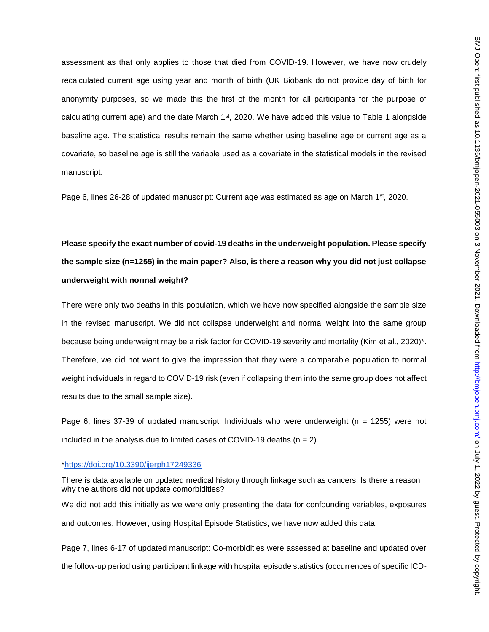assessment as that only applies to those that died from COVID-19. However, we have now crudely recalculated current age using year and month of birth (UK Biobank do not provide day of birth for anonymity purposes, so we made this the first of the month for all participants for the purpose of calculating current age) and the date March  $1<sup>st</sup>$ , 2020. We have added this value to Table 1 alongside baseline age. The statistical results remain the same whether using baseline age or current age as a covariate, so baseline age is still the variable used as a covariate in the statistical models in the revised manuscript.

Page 6, lines 26-28 of updated manuscript: Current age was estimated as age on March 1<sup>st</sup>, 2020.

# **Please specify the exact number of covid-19 deaths in the underweight population. Please specify the sample size (n=1255) in the main paper? Also, is there a reason why you did not just collapse underweight with normal weight?**

There were only two deaths in this population, which we have now specified alongside the sample size in the revised manuscript. We did not collapse underweight and normal weight into the same group because being underweight may be a risk factor for COVID-19 severity and mortality (Kim et al., 2020)\*. Therefore, we did not want to give the impression that they were a comparable population to normal weight individuals in regard to COVID-19 risk (even if collapsing them into the same group does not affect results due to the small sample size).

Page 6, lines 37-39 of updated manuscript: Individuals who were underweight (n = 1255) were not included in the analysis due to limited cases of COVID-19 deaths  $(n = 2)$ .

### [\\*https://doi.org/10.3390/ijerph17249336](https://doi.org/10.3390/ijerph17249336)

There is data available on updated medical history through linkage such as cancers. Is there a reason why the authors did not update comorbidities? We did not add this initially as we were only presenting the data for confounding variables, exposures and outcomes. However, using Hospital Episode Statistics, we have now added this data.

Page 7, lines 6-17 of updated manuscript: Co-morbidities were assessed at baseline and updated over the follow-up period using participant linkage with hospital episode statistics (occurrences of specific ICD-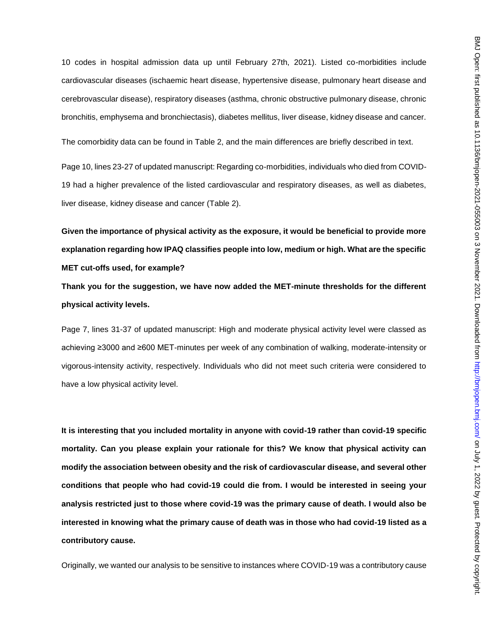10 codes in hospital admission data up until February 27th, 2021). Listed co-morbidities include cardiovascular diseases (ischaemic heart disease, hypertensive disease, pulmonary heart disease and cerebrovascular disease), respiratory diseases (asthma, chronic obstructive pulmonary disease, chronic bronchitis, emphysema and bronchiectasis), diabetes mellitus, liver disease, kidney disease and cancer.

The comorbidity data can be found in Table 2, and the main differences are briefly described in text.

Page 10, lines 23-27 of updated manuscript: Regarding co-morbidities, individuals who died from COVID-19 had a higher prevalence of the listed cardiovascular and respiratory diseases, as well as diabetes, liver disease, kidney disease and cancer (Table 2).

**Given the importance of physical activity as the exposure, it would be beneficial to provide more explanation regarding how IPAQ classifies people into low, medium or high. What are the specific MET cut-offs used, for example?**

**Thank you for the suggestion, we have now added the MET-minute thresholds for the different physical activity levels.**

Page 7, lines 31-37 of updated manuscript: High and moderate physical activity level were classed as achieving ≥3000 and ≥600 MET-minutes per week of any combination of walking, moderate-intensity or vigorous-intensity activity, respectively. Individuals who did not meet such criteria were considered to have a low physical activity level.

**It is interesting that you included mortality in anyone with covid-19 rather than covid-19 specific mortality. Can you please explain your rationale for this? We know that physical activity can modify the association between obesity and the risk of cardiovascular disease, and several other conditions that people who had covid-19 could die from. I would be interested in seeing your analysis restricted just to those where covid-19 was the primary cause of death. I would also be interested in knowing what the primary cause of death was in those who had covid-19 listed as a contributory cause.**

Originally, we wanted our analysis to be sensitive to instances where COVID-19 was a contributory cause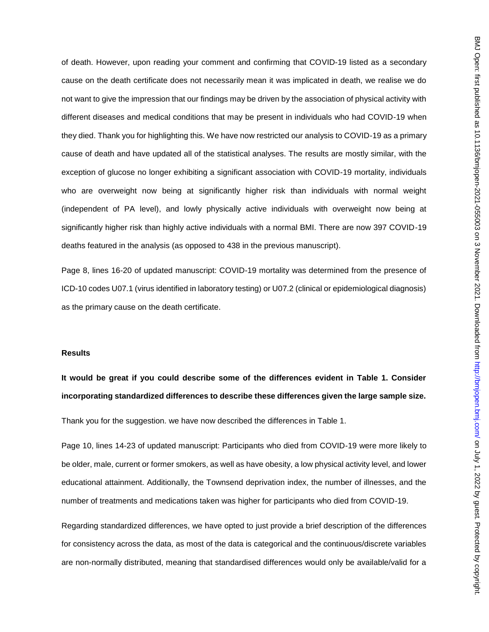of death. However, upon reading your comment and confirming that COVID-19 listed as a secondary cause on the death certificate does not necessarily mean it was implicated in death, we realise we do not want to give the impression that our findings may be driven by the association of physical activity with different diseases and medical conditions that may be present in individuals who had COVID-19 when they died. Thank you for highlighting this. We have now restricted our analysis to COVID-19 as a primary cause of death and have updated all of the statistical analyses. The results are mostly similar, with the exception of glucose no longer exhibiting a significant association with COVID-19 mortality, individuals who are overweight now being at significantly higher risk than individuals with normal weight (independent of PA level), and lowly physically active individuals with overweight now being at significantly higher risk than highly active individuals with a normal BMI. There are now 397 COVID-19 deaths featured in the analysis (as opposed to 438 in the previous manuscript).

Page 8, lines 16-20 of updated manuscript: COVID-19 mortality was determined from the presence of ICD-10 codes U07.1 (virus identified in laboratory testing) or U07.2 (clinical or epidemiological diagnosis) as the primary cause on the death certificate.

### **Results**

**It would be great if you could describe some of the differences evident in Table 1. Consider incorporating standardized differences to describe these differences given the large sample size.**

Thank you for the suggestion. we have now described the differences in Table 1.

Page 10, lines 14-23 of updated manuscript: Participants who died from COVID-19 were more likely to be older, male, current or former smokers, as well as have obesity, a low physical activity level, and lower educational attainment. Additionally, the Townsend deprivation index, the number of illnesses, and the number of treatments and medications taken was higher for participants who died from COVID-19.

Regarding standardized differences, we have opted to just provide a brief description of the differences for consistency across the data, as most of the data is categorical and the continuous/discrete variables are non-normally distributed, meaning that standardised differences would only be available/valid for a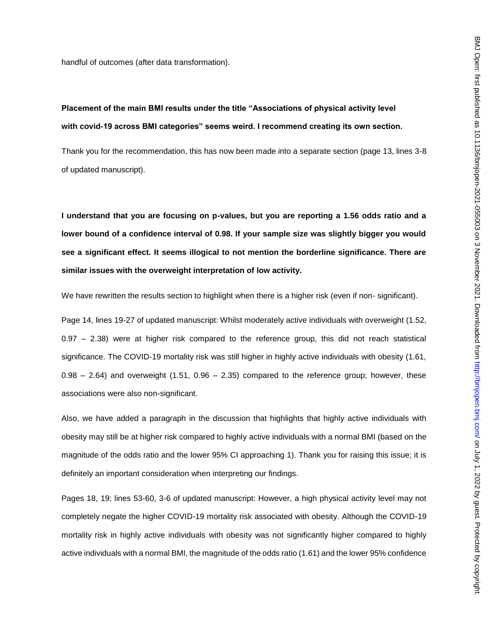handful of outcomes (after data transformation).

# **Placement of the main BMI results under the title "Associations of physical activity level with covid-19 across BMI categories" seems weird. I recommend creating its own section.**

Thank you for the recommendation, this has now been made into a separate section (page 13, lines 3-8 of updated manuscript).

**I understand that you are focusing on p-values, but you are reporting a 1.56 odds ratio and a lower bound of a confidence interval of 0.98. If your sample size was slightly bigger you would see a significant effect. It seems illogical to not mention the borderline significance. There are similar issues with the overweight interpretation of low activity.**

We have rewritten the results section to highlight when there is a higher risk (even if non- significant).

Page 14, lines 19-27 of updated manuscript: Whilst moderately active individuals with overweight (1.52, 0.97 – 2.38) were at higher risk compared to the reference group, this did not reach statistical significance. The COVID-19 mortality risk was still higher in highly active individuals with obesity (1.61,  $0.98 - 2.64$ ) and overweight  $(1.51, 0.96 - 2.35)$  compared to the reference group; however, these associations were also non-significant.

Also, we have added a paragraph in the discussion that highlights that highly active individuals with obesity may still be at higher risk compared to highly active individuals with a normal BMI (based on the magnitude of the odds ratio and the lower 95% CI approaching 1). Thank you for raising this issue; it is definitely an important consideration when interpreting our findings.

Pages 18, 19; lines 53-60, 3-6 of updated manuscript: However, a high physical activity level may not completely negate the higher COVID-19 mortality risk associated with obesity. Although the COVID-19 mortality risk in highly active individuals with obesity was not significantly higher compared to highly active individuals with a normal BMI, the magnitude of the odds ratio (1.61) and the lower 95% confidence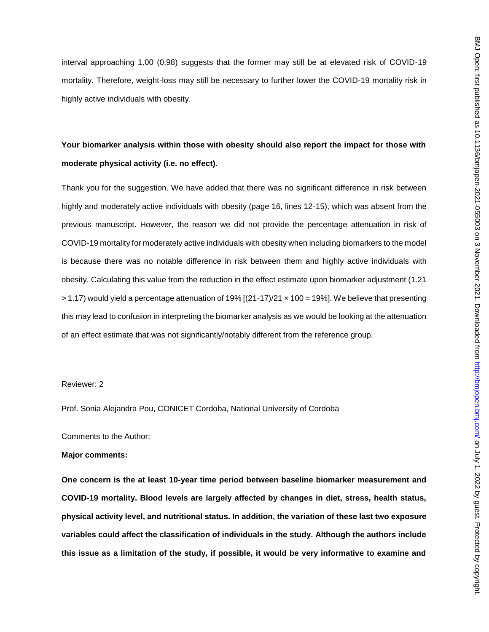interval approaching 1.00 (0.98) suggests that the former may still be at elevated risk of COVID-19 mortality. Therefore, weight-loss may still be necessary to further lower the COVID-19 mortality risk in highly active individuals with obesity.

# **Your biomarker analysis within those with obesity should also report the impact for those with moderate physical activity (i.e. no effect).**

Thank you for the suggestion. We have added that there was no significant difference in risk between highly and moderately active individuals with obesity (page 16, lines 12-15), which was absent from the previous manuscript. However, the reason we did not provide the percentage attenuation in risk of COVID-19 mortality for moderately active individuals with obesity when including biomarkers to the model is because there was no notable difference in risk between them and highly active individuals with obesity. Calculating this value from the reduction in the effect estimate upon biomarker adjustment (1.21  $> 1.17$ ) would yield a percentage attenuation of 19%  $[(21-17)/21 \times 100 = 19$ %]. We believe that presenting this may lead to confusion in interpreting the biomarker analysis as we would be looking at the attenuation of an effect estimate that was not significantly/notably different from the reference group.

## Reviewer: 2

Prof. Sonia Alejandra Pou, CONICET Cordoba, National University of Cordoba

Comments to the Author:

#### **Major comments:**

**One concern is the at least 10-year time period between baseline biomarker measurement and COVID-19 mortality. Blood levels are largely affected by changes in diet, stress, health status, physical activity level, and nutritional status. In addition, the variation of these last two exposure variables could affect the classification of individuals in the study. Although the authors include this issue as a limitation of the study, if possible, it would be very informative to examine and**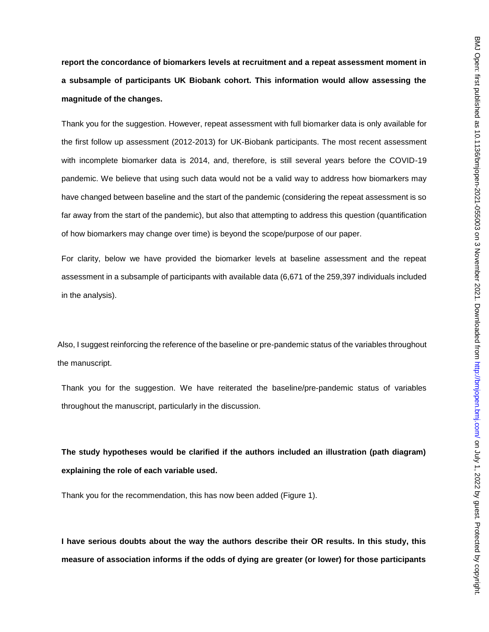**report the concordance of biomarkers levels at recruitment and a repeat assessment moment in a subsample of participants UK Biobank cohort. This information would allow assessing the magnitude of the changes.**

Thank you for the suggestion. However, repeat assessment with full biomarker data is only available for the first follow up assessment (2012-2013) for UK-Biobank participants. The most recent assessment with incomplete biomarker data is 2014, and, therefore, is still several years before the COVID-19 pandemic. We believe that using such data would not be a valid way to address how biomarkers may have changed between baseline and the start of the pandemic (considering the repeat assessment is so far away from the start of the pandemic), but also that attempting to address this question (quantification of how biomarkers may change over time) is beyond the scope/purpose of our paper.

For clarity, below we have provided the biomarker levels at baseline assessment and the repeat assessment in a subsample of participants with available data (6,671 of the 259,397 individuals included in the analysis).

Also, I suggest reinforcing the reference of the baseline or pre-pandemic status of the variables throughout the manuscript.

Thank you for the suggestion. We have reiterated the baseline/pre-pandemic status of variables throughout the manuscript, particularly in the discussion.

**The study hypotheses would be clarified if the authors included an illustration (path diagram) explaining the role of each variable used.**

Thank you for the recommendation, this has now been added (Figure 1).

**I have serious doubts about the way the authors describe their OR results. In this study, this measure of association informs if the odds of dying are greater (or lower) for those participants**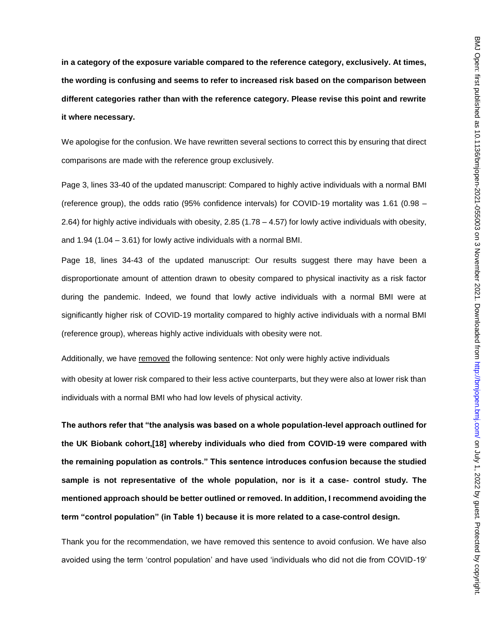**in a category of the exposure variable compared to the reference category, exclusively. At times, the wording is confusing and seems to refer to increased risk based on the comparison between different categories rather than with the reference category. Please revise this point and rewrite it where necessary.**

We apologise for the confusion. We have rewritten several sections to correct this by ensuring that direct comparisons are made with the reference group exclusively.

Page 3, lines 33-40 of the updated manuscript: Compared to highly active individuals with a normal BMI (reference group), the odds ratio (95% confidence intervals) for COVID-19 mortality was 1.61 (0.98 – 2.64) for highly active individuals with obesity, 2.85 (1.78 – 4.57) for lowly active individuals with obesity, and 1.94 (1.04 – 3.61) for lowly active individuals with a normal BMI.

Page 18, lines 34-43 of the updated manuscript: Our results suggest there may have been a disproportionate amount of attention drawn to obesity compared to physical inactivity as a risk factor during the pandemic. Indeed, we found that lowly active individuals with a normal BMI were at significantly higher risk of COVID-19 mortality compared to highly active individuals with a normal BMI (reference group), whereas highly active individuals with obesity were not.

Additionally, we have removed the following sentence: Not only were highly active individuals with obesity at lower risk compared to their less active counterparts, but they were also at lower risk than individuals with a normal BMI who had low levels of physical activity.

**The authors refer that "the analysis was based on a whole population-level approach outlined for the UK Biobank cohort,[18] whereby individuals who died from COVID-19 were compared with the remaining population as controls." This sentence introduces confusion because the studied sample is not representative of the whole population, nor is it a case- control study. The mentioned approach should be better outlined or removed. In addition, I recommend avoiding the term "control population" (in Table 1) because it is more related to a case-control design.**

Thank you for the recommendation, we have removed this sentence to avoid confusion. We have also avoided using the term 'control population' and have used 'individuals who did not die from COVID-19'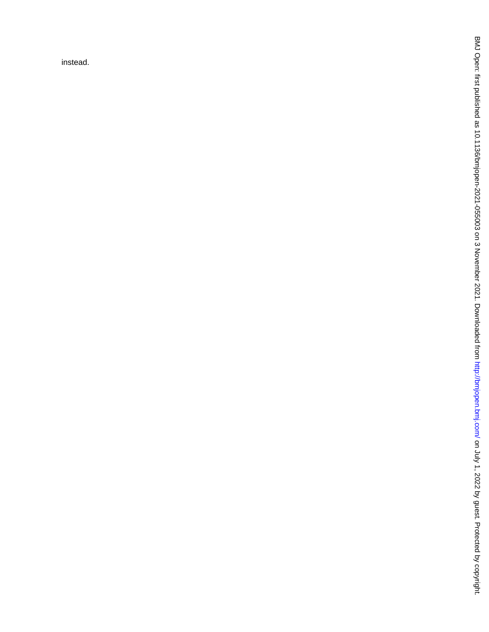instead.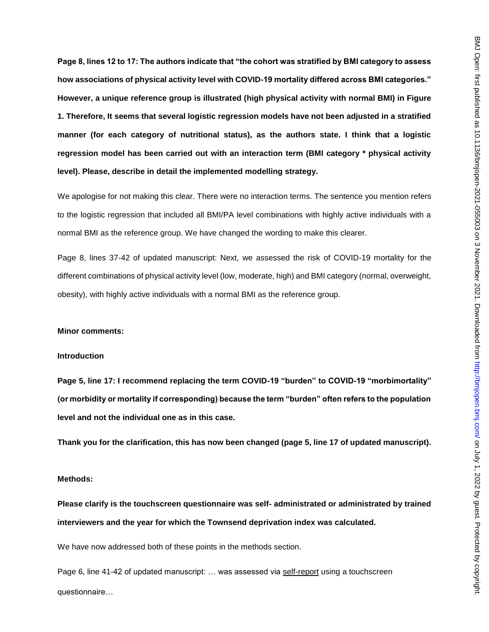**Page 8, lines 12 to 17: The authors indicate that "the cohort was stratified by BMI category to assess how associations of physical activity level with COVID-19 mortality differed across BMI categories." However, a unique reference group is illustrated (high physical activity with normal BMI) in Figure 1. Therefore, It seems that several logistic regression models have not been adjusted in a stratified manner (for each category of nutritional status), as the authors state. I think that a logistic regression model has been carried out with an interaction term (BMI category \* physical activity level). Please, describe in detail the implemented modelling strategy.**

We apologise for not making this clear. There were no interaction terms. The sentence you mention refers to the logistic regression that included all BMI/PA level combinations with highly active individuals with a normal BMI as the reference group. We have changed the wording to make this clearer.

Page 8, lines 37-42 of updated manuscript: Next, we assessed the risk of COVID-19 mortality for the different combinations of physical activity level (low, moderate, high) and BMI category (normal, overweight, obesity), with highly active individuals with a normal BMI as the reference group.

### **Minor comments:**

#### **Introduction**

**Page 5, line 17: I recommend replacing the term COVID-19 "burden" to COVID-19 "morbimortality" (or morbidity or mortality if corresponding) because the term "burden" often refers to the population level and not the individual one as in this case.** 

**Thank you for the clarification, this has now been changed (page 5, line 17 of updated manuscript).**

### **Methods:**

**Please clarify is the touchscreen questionnaire was self- administrated or administrated by trained interviewers and the year for which the Townsend deprivation index was calculated.**

We have now addressed both of these points in the methods section.

Page 6, line 41-42 of updated manuscript: … was assessed via self-report using a touchscreen questionnaire…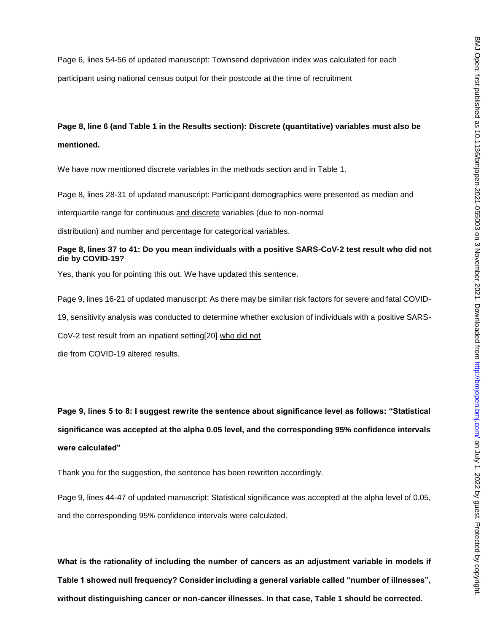Page 6, lines 54-56 of updated manuscript: Townsend deprivation index was calculated for each participant using national census output for their postcode at the time of recruitment

# **Page 8, line 6 (and Table 1 in the Results section): Discrete (quantitative) variables must also be mentioned.**

We have now mentioned discrete variables in the methods section and in Table 1.

Page 8, lines 28-31 of updated manuscript: Participant demographics were presented as median and

interquartile range for continuous and discrete variables (due to non-normal

distribution) and number and percentage for categorical variables.

## **Page 8, lines 37 to 41: Do you mean individuals with a positive SARS-CoV-2 test result who did not die by COVID-19?**

Yes, thank you for pointing this out. We have updated this sentence.

Page 9, lines 16-21 of updated manuscript: As there may be similar risk factors for severe and fatal COVID-

19, sensitivity analysis was conducted to determine whether exclusion of individuals with a positive SARS-

CoV-2 test result from an inpatient setting[20] who did not

die from COVID-19 altered results.

**Page 9, lines 5 to 8: I suggest rewrite the sentence about significance level as follows: "Statistical significance was accepted at the alpha 0.05 level, and the corresponding 95% confidence intervals were calculated"**

Thank you for the suggestion, the sentence has been rewritten accordingly.

Page 9, lines 44-47 of updated manuscript: Statistical significance was accepted at the alpha level of 0.05, and the corresponding 95% confidence intervals were calculated.

**What is the rationality of including the number of cancers as an adjustment variable in models if Table 1 showed null frequency? Consider including a general variable called "number of illnesses", without distinguishing cancer or non-cancer illnesses. In that case, Table 1 should be corrected.**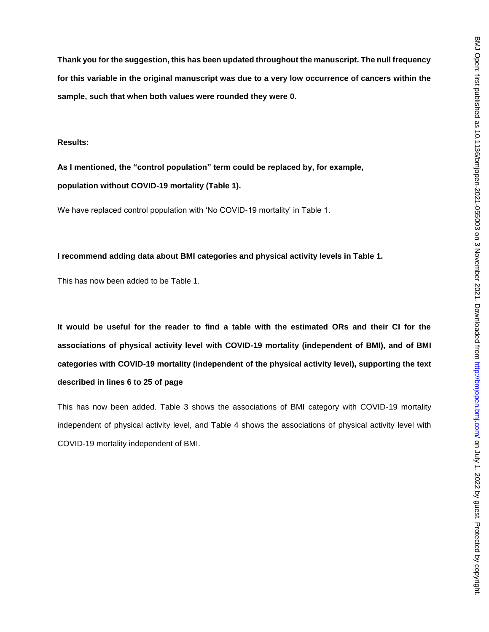**Thank you for the suggestion, this has been updated throughout the manuscript. The null frequency for this variable in the original manuscript was due to a very low occurrence of cancers within the sample, such that when both values were rounded they were 0.**

### **Results:**

**As I mentioned, the "control population" term could be replaced by, for example, population without COVID-19 mortality (Table 1).**

We have replaced control population with 'No COVID-19 mortality' in Table 1.

## **I recommend adding data about BMI categories and physical activity levels in Table 1.**

This has now been added to be Table 1.

**It would be useful for the reader to find a table with the estimated ORs and their CI for the associations of physical activity level with COVID-19 mortality (independent of BMI), and of BMI categories with COVID-19 mortality (independent of the physical activity level), supporting the text described in lines 6 to 25 of page**

This has now been added. Table 3 shows the associations of BMI category with COVID-19 mortality independent of physical activity level, and Table 4 shows the associations of physical activity level with COVID-19 mortality independent of BMI.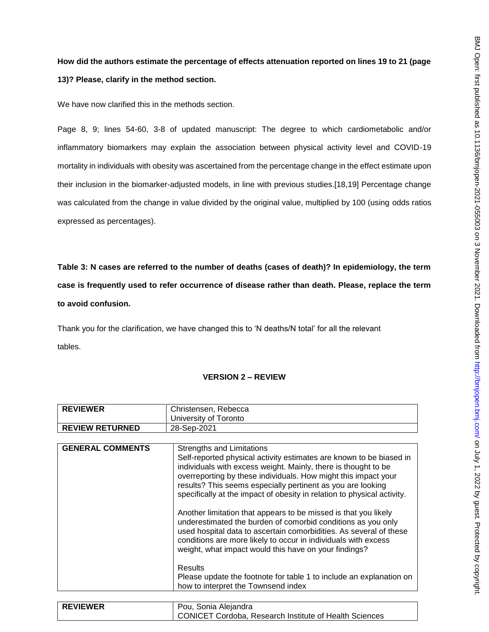# **How did the authors estimate the percentage of effects attenuation reported on lines 19 to 21 (page 13)? Please, clarify in the method section.**

We have now clarified this in the methods section.

Page 8, 9; lines 54-60, 3-8 of updated manuscript: The degree to which cardiometabolic and/or inflammatory biomarkers may explain the association between physical activity level and COVID-19 mortality in individuals with obesity was ascertained from the percentage change in the effect estimate upon their inclusion in the biomarker-adjusted models, in line with previous studies.[18,19] Percentage change was calculated from the change in value divided by the original value, multiplied by 100 (using odds ratios expressed as percentages).

**Table 3: N cases are referred to the number of deaths (cases of death)? In epidemiology, the term case is frequently used to refer occurrence of disease rather than death. Please, replace the term to avoid confusion.**

Thank you for the clarification, we have changed this to 'N deaths/N total' for all the relevant tables.

## **VERSION 2 – REVIEW**

|                         | University of Toronto                                                                                                                                                                                                                                                                                                                                                                                                                                                                                                                                                                                                                                                                                                                                                                                                                              |
|-------------------------|----------------------------------------------------------------------------------------------------------------------------------------------------------------------------------------------------------------------------------------------------------------------------------------------------------------------------------------------------------------------------------------------------------------------------------------------------------------------------------------------------------------------------------------------------------------------------------------------------------------------------------------------------------------------------------------------------------------------------------------------------------------------------------------------------------------------------------------------------|
| <b>REVIEW RETURNED</b>  | 28-Sep-2021                                                                                                                                                                                                                                                                                                                                                                                                                                                                                                                                                                                                                                                                                                                                                                                                                                        |
|                         |                                                                                                                                                                                                                                                                                                                                                                                                                                                                                                                                                                                                                                                                                                                                                                                                                                                    |
| <b>GENERAL COMMENTS</b> | Strengths and Limitations<br>Self-reported physical activity estimates are known to be biased in<br>individuals with excess weight. Mainly, there is thought to be<br>overreporting by these individuals. How might this impact your<br>results? This seems especially pertinent as you are looking<br>specifically at the impact of obesity in relation to physical activity.<br>Another limitation that appears to be missed is that you likely<br>underestimated the burden of comorbid conditions as you only<br>used hospital data to ascertain comorbidities. As several of these<br>conditions are more likely to occur in individuals with excess<br>weight, what impact would this have on your findings?<br><b>Results</b><br>Please update the footnote for table 1 to include an explanation on<br>how to interpret the Townsend index |

| <b>REVIEWER</b> | Pou, Sonia Alejandra                                          |
|-----------------|---------------------------------------------------------------|
|                 | <b>CONICET Cordoba, Research Institute of Health Sciences</b> |